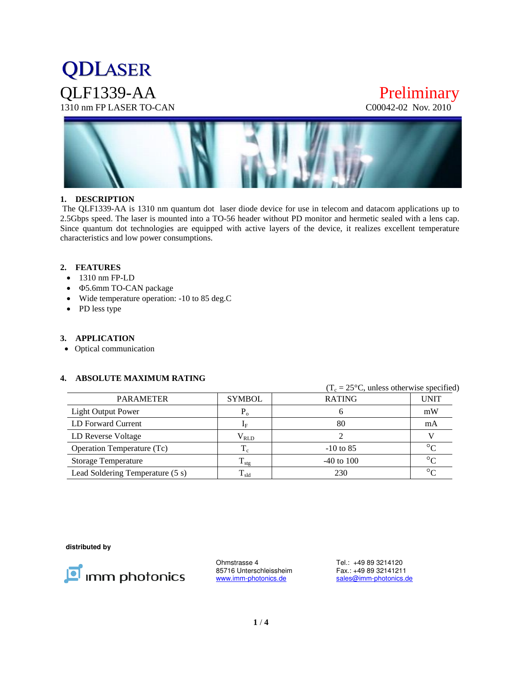# **QDLASER** QLF1339-AA Preliminary<br>1310 nm FP LASER TO-CAN COO042-02 Nov. 2010 1310 nm FP LASER TO-CAN



#### **1. DESCRIPTION**

 The QLF1339-AA is 1310 nm quantum dot laser diode device for use in telecom and datacom applications up to 2.5Gbps speed. The laser is mounted into a TO-56 header without PD monitor and hermetic sealed with a lens cap. Since quantum dot technologies are equipped with active layers of the device, it realizes excellent temperature characteristics and low power consumptions.

#### **2. FEATURES**

- 1310 nm FP-LD
- 5.6mm TO-CAN package
- Wide temperature operation: -10 to 85 deg.C
- PD less type

#### **3. APPLICATION**

Optical communication

#### **4. ABSOLUTE MAXIMUM RATING**

|                                  |                  |                | $(T_c = 25\degree C$ , unless otherwise specified) |  |  |
|----------------------------------|------------------|----------------|----------------------------------------------------|--|--|
| <b>PARAMETER</b>                 | <b>SYMBOL</b>    | <b>RATING</b>  | <b>UNIT</b>                                        |  |  |
| <b>Light Output Power</b>        | $P_{o}$          | n              | mW                                                 |  |  |
| LD Forward Current               | $1_{\rm F}$      | 80             | mA                                                 |  |  |
| LD Reverse Voltage               | $\rm V_{RLD}$    |                |                                                    |  |  |
| Operation Temperature (Tc)       | $\rm T_c$        | $-10$ to 85    | $\circ$                                            |  |  |
| <b>Storage Temperature</b>       | $T_{\text{stg}}$ | $-40$ to $100$ | $\circ$                                            |  |  |
| Lead Soldering Temperature (5 s) | $T_{\rm sld}$    | 230            | $\circ$                                            |  |  |

**distributed by** 



Ohmstrasse 4 Tel.: +49 89 3214120<br>85716 Unterschleissheim Fax.: +49 89 32141211 85716 Unterschleissheim<br>www.imm-photonics.de

sales@imm-photonics.de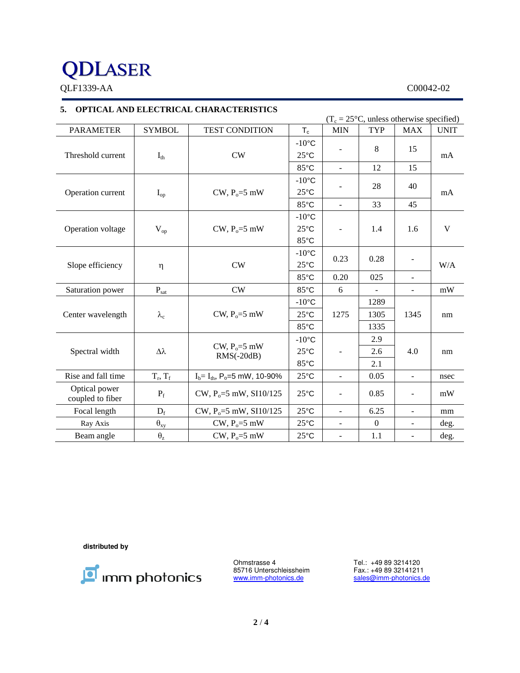# **QDLASER**

QLF1339-AA C00042-02

### **5. OPTICAL AND ELECTRICAL CHARACTERISTICS**

| $(T_c = 25\degree C$ , unless otherwise specified) |                                  |                                               |                           |                          |                          |                              |             |  |
|----------------------------------------------------|----------------------------------|-----------------------------------------------|---------------------------|--------------------------|--------------------------|------------------------------|-------------|--|
| <b>PARAMETER</b>                                   | <b>SYMBOL</b>                    | TEST CONDITION                                | $\mathsf{T}_{\mathrm{c}}$ | <b>MIN</b>               | <b>TYP</b>               | <b>MAX</b>                   | <b>UNIT</b> |  |
|                                                    |                                  |                                               | $-10$ °C                  |                          |                          |                              |             |  |
| Threshold current<br>$I_{th}$                      |                                  | CW                                            | $25^{\circ}$ C            |                          | 8                        | 15                           | mA          |  |
|                                                    |                                  | 85°C                                          | $\overline{\phantom{a}}$  | 12                       | 15                       |                              |             |  |
| Operation current<br>$I_{op}$                      |                                  | CW, $P_0 = 5$ mW                              | $-10$ °C                  |                          | 28                       | 40                           |             |  |
|                                                    |                                  |                                               | $25^{\circ}$ C            |                          |                          |                              | mA          |  |
|                                                    |                                  | $85^{\circ}$ C                                | $\blacksquare$            | 33                       | 45                       |                              |             |  |
| Operation voltage<br>$\rm V_{op}$                  |                                  | CW, $P_0 = 5$ mW                              | $-10^{\circ}$ C           | -                        | 1.4                      | 1.6                          | $\mathbf V$ |  |
|                                                    |                                  |                                               | $25^{\circ}$ C            |                          |                          |                              |             |  |
|                                                    |                                  | 85°C                                          |                           |                          |                          |                              |             |  |
| Slope efficiency<br>$\eta$                         |                                  |                                               | $-10$ °C                  |                          |                          |                              |             |  |
|                                                    | CW                               | $25^{\circ}$ C                                | 0.23                      | 0.28                     | $\overline{\phantom{a}}$ | W/A                          |             |  |
|                                                    |                                  | 85°C                                          | 0.20                      | 025                      | $\blacksquare$           |                              |             |  |
| Saturation power                                   | $\mathbf{P}_{\text{sat}}$        | CW                                            | 85°C                      | 6                        |                          | $\overline{\phantom{a}}$     | mW          |  |
| Center wavelength<br>$\lambda_c$                   | CW, $P_0 = 5$ mW                 | $-10$ °C                                      | 1275                      | 1289                     |                          | nm                           |             |  |
|                                                    |                                  | $25^{\circ}$ C                                |                           | 1305                     | 1345                     |                              |             |  |
|                                                    |                                  | $85^{\circ}$ C                                |                           | 1335                     |                          |                              |             |  |
| $\Delta\lambda$<br>Spectral width                  | CW, $P_0 = 5$ mW<br>$RMS(-20dB)$ | $-10$ °C                                      |                           | 2.9                      |                          | nm                           |             |  |
|                                                    |                                  | $25^{\circ}$ C                                |                           | 2.6                      | 4.0                      |                              |             |  |
|                                                    |                                  | 85°C                                          |                           | 2.1                      |                          |                              |             |  |
| Rise and fall time                                 | $T_r, T_f$                       | $I_b = I_{th}$ , P <sub>o</sub> =5 mW, 10-90% | $25^{\circ}$ C            | $\overline{\phantom{a}}$ | 0.05                     | $\mathbb{L}$                 | nsec        |  |
| Optical power<br>coupled to fiber                  | $P_f$                            | CW, $P_0 = 5$ mW, SI10/125                    | $25^{\circ}$ C            |                          | 0.85                     | $\qquad \qquad \blacksquare$ | mW          |  |
| Focal length                                       | $D_f$                            | $CW, P_0 = 5$ mW, $SI10/125$                  | $25^{\circ}$ C            | $\overline{\phantom{0}}$ | 6.25                     | $\frac{1}{2}$                | mm          |  |
| Ray Axis                                           | $\theta_{xy}$                    | $CW, Po=5 mW$                                 | $25^{\circ}$ C            | $\overline{\phantom{a}}$ | $\boldsymbol{0}$         | $\blacksquare$               | deg.        |  |
| Beam angle                                         | $\theta_z$                       | CW, $P_0 = 5$ mW                              | $25^{\circ}$ C            | $\overline{\phantom{a}}$ | 1.1                      | $\overline{\phantom{a}}$     | deg.        |  |

**distributed by** 



Ohmstrasse 4 Tel.: +49 89 3214120<br>85716 Unterschleissheim Fax.: +49 89 32141211 85716 Unterschleissheim<br>www.imm-photonics.de

sales@imm-photonics.de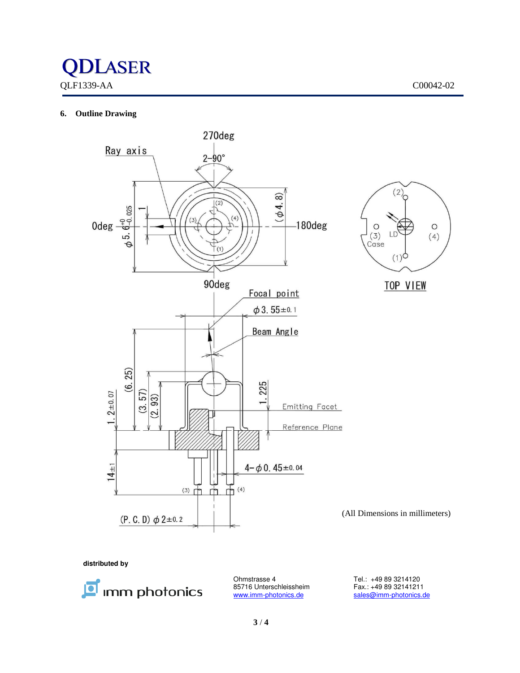

#### **6. Outline Drawing**



**distributed by** 



85716 Unterschleissheim<br>www.imm-photonics.de

Ohmstrasse 4 Tel.: +49 89 3214120<br>85716 Unterschleissheim Fax.: +49 89 32141211 sales@imm-photonics.de